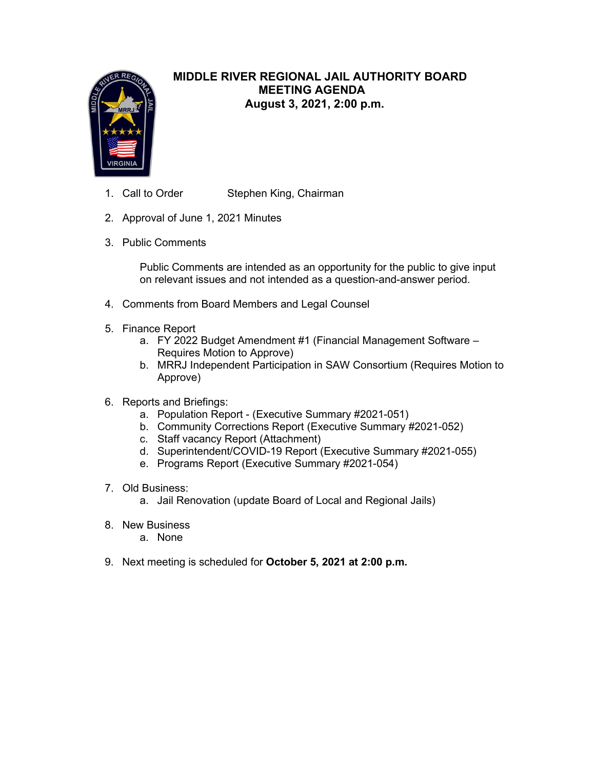

# **MIDDLE RIVER REGIONAL JAIL AUTHORITY BOARD MEETING AGENDA August 3, 2021, 2:00 p.m.**

- 1. Call to Order Stephen King, Chairman
- 2. Approval of June 1, 2021 Minutes
- 3. Public Comments

Public Comments are intended as an opportunity for the public to give input on relevant issues and not intended as a question-and-answer period.

- 4. Comments from Board Members and Legal Counsel
- 5. Finance Report
	- a. FY 2022 Budget Amendment #1 (Financial Management Software Requires Motion to Approve)
	- b. MRRJ Independent Participation in SAW Consortium (Requires Motion to Approve)
- 6. Reports and Briefings:
	- a. Population Report (Executive Summary #2021-051)
	- b. Community Corrections Report (Executive Summary #2021-052)
	- c. Staff vacancy Report (Attachment)
	- d. Superintendent/COVID-19 Report (Executive Summary #2021-055)
	- e. Programs Report (Executive Summary #2021-054)
- 7. Old Business:
	- a. Jail Renovation (update Board of Local and Regional Jails)
- 8. New Business
	- a. None
- 9. Next meeting is scheduled for **October 5, 2021 at 2:00 p.m.**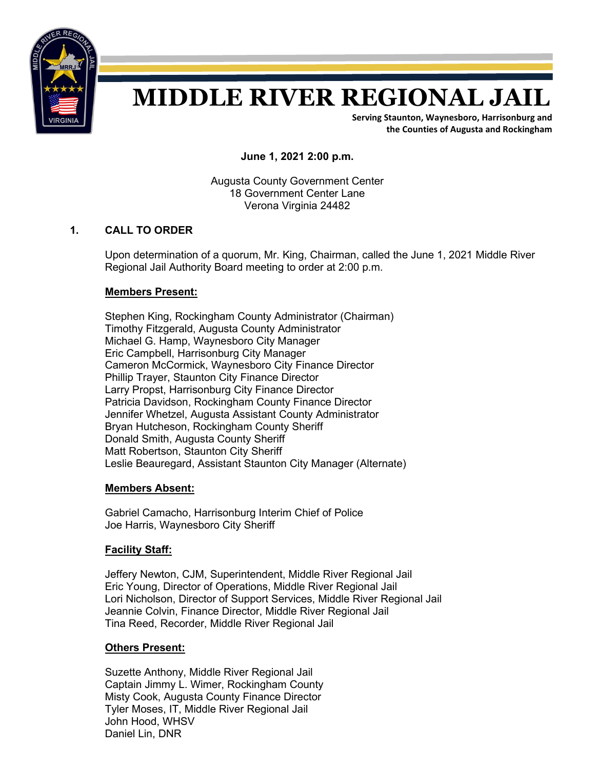

# **MIDDLE RIVER REGIONAL JAIL**

**Serving Staunton, Waynesboro, Harrisonburg and the Counties of Augusta and Rockingham**

**June 1, 2021 2:00 p.m.**

Augusta County Government Center 18 Government Center Lane Verona Virginia 24482

### **1. CALL TO ORDER**

Upon determination of a quorum, Mr. King, Chairman, called the June 1, 2021 Middle River Regional Jail Authority Board meeting to order at 2:00 p.m.

### **Members Present:**

Stephen King, Rockingham County Administrator (Chairman) Timothy Fitzgerald, Augusta County Administrator Michael G. Hamp, Waynesboro City Manager Eric Campbell, Harrisonburg City Manager Cameron McCormick, Waynesboro City Finance Director Phillip Trayer, Staunton City Finance Director Larry Propst, Harrisonburg City Finance Director Patricia Davidson, Rockingham County Finance Director Jennifer Whetzel, Augusta Assistant County Administrator Bryan Hutcheson, Rockingham County Sheriff Donald Smith, Augusta County Sheriff Matt Robertson, Staunton City Sheriff Leslie Beauregard, Assistant Staunton City Manager (Alternate)

### **Members Absent:**

Gabriel Camacho, Harrisonburg Interim Chief of Police Joe Harris, Waynesboro City Sheriff

### **Facility Staff:**

Jeffery Newton, CJM, Superintendent, Middle River Regional Jail Eric Young, Director of Operations, Middle River Regional Jail Lori Nicholson, Director of Support Services, Middle River Regional Jail Jeannie Colvin, Finance Director, Middle River Regional Jail Tina Reed, Recorder, Middle River Regional Jail

### **Others Present:**

Suzette Anthony, Middle River Regional Jail Captain Jimmy L. Wimer, Rockingham County Misty Cook, Augusta County Finance Director Tyler Moses, IT, Middle River Regional Jail John Hood, WHSV Daniel Lin, DNR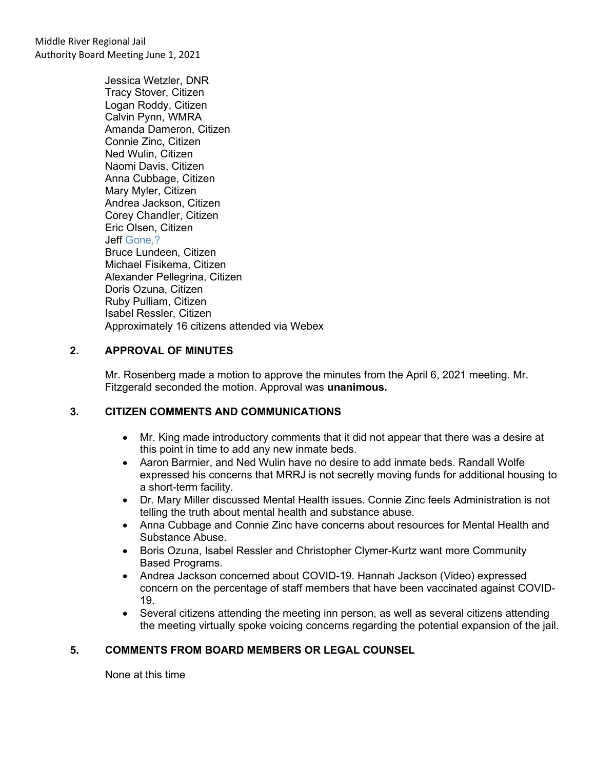Middle River Regional Jail Authority Board Meeting June 1, 2021

> Jessica Wetzler, DNR Tracy Stover, Citizen Logan Roddy, Citizen Calvin Pynn, WMRA Amanda Dameron, Citizen Connie Zinc, Citizen Ned Wulin, Citizen Naomi Davis, Citizen Anna Cubbage, Citizen Mary Myler, Citizen Andrea Jackson, Citizen Corey Chandler, Citizen Eric Olsen, Citizen Jeff Gone,? Bruce Lundeen, Citizen Michael Fisikema, Citizen Alexander Pellegrina, Citizen Doris Ozuna, Citizen Ruby Pulliam, Citizen Isabel Ressler, Citizen Approximately 16 citizens attended via Webex

### **2. APPROVAL OF MINUTES**

Mr. Rosenberg made a motion to approve the minutes from the April 6, 2021 meeting. Mr. Fitzgerald seconded the motion. Approval was **unanimous.**

### **3. CITIZEN COMMENTS AND COMMUNICATIONS**

- Mr. King made introductory comments that it did not appear that there was a desire at this point in time to add any new inmate beds.
- Aaron Barrnier, and Ned Wulin have no desire to add inmate beds. Randall Wolfe expressed his concerns that MRRJ is not secretly moving funds for additional housing to a short-term facility.
- Dr. Mary Miller discussed Mental Health issues. Connie Zinc feels Administration is not telling the truth about mental health and substance abuse.
- Anna Cubbage and Connie Zinc have concerns about resources for Mental Health and Substance Abuse.
- Boris Ozuna, Isabel Ressler and Christopher Clymer-Kurtz want more Community Based Programs.
- Andrea Jackson concerned about COVID-19. Hannah Jackson (Video) expressed concern on the percentage of staff members that have been vaccinated against COVID-19.
- Several citizens attending the meeting inn person, as well as several citizens attending the meeting virtually spoke voicing concerns regarding the potential expansion of the jail.

### **5. COMMENTS FROM BOARD MEMBERS OR LEGAL COUNSEL**

None at this time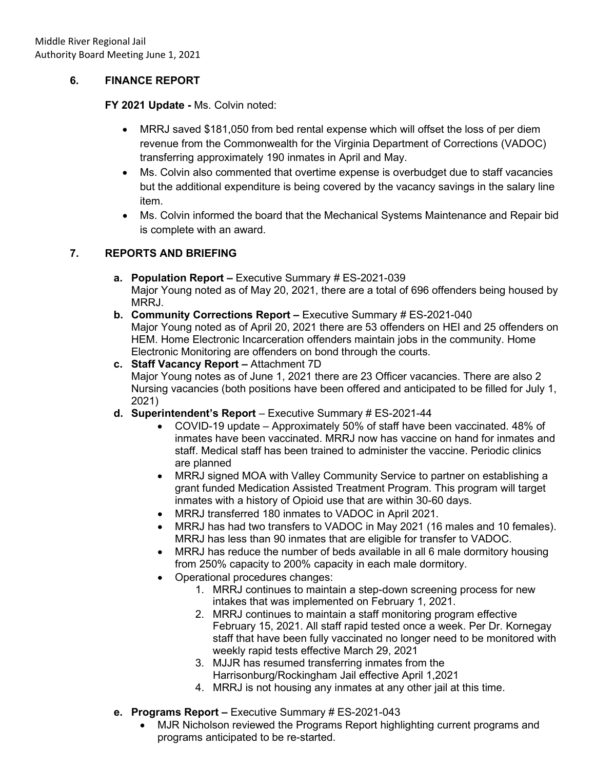## **6. FINANCE REPORT**

### **FY 2021 Update -** Ms. Colvin noted:

- MRRJ saved \$181,050 from bed rental expense which will offset the loss of per diem revenue from the Commonwealth for the Virginia Department of Corrections (VADOC) transferring approximately 190 inmates in April and May.
- Ms. Colvin also commented that overtime expense is overbudget due to staff vacancies but the additional expenditure is being covered by the vacancy savings in the salary line item.
- Ms. Colvin informed the board that the Mechanical Systems Maintenance and Repair bid is complete with an award.

# **7. REPORTS AND BRIEFING**

- **a. Population Report –** Executive Summary # ES-2021-039 Major Young noted as of May 20, 2021, there are a total of 696 offenders being housed by MRRJ.
- **b. Community Corrections Report –** Executive Summary # ES-2021-040 Major Young noted as of April 20, 2021 there are 53 offenders on HEI and 25 offenders on HEM. Home Electronic Incarceration offenders maintain jobs in the community. Home Electronic Monitoring are offenders on bond through the courts.
- **c. Staff Vacancy Report –** Attachment 7D Major Young notes as of June 1, 2021 there are 23 Officer vacancies. There are also 2 Nursing vacancies (both positions have been offered and anticipated to be filled for July 1, 2021)
- **d. Superintendent's Report**  Executive Summary # ES-2021-44
	- COVID-19 update Approximately 50% of staff have been vaccinated. 48% of inmates have been vaccinated. MRRJ now has vaccine on hand for inmates and staff. Medical staff has been trained to administer the vaccine. Periodic clinics are planned
	- MRRJ signed MOA with Valley Community Service to partner on establishing a grant funded Medication Assisted Treatment Program. This program will target inmates with a history of Opioid use that are within 30-60 days.
	- MRRJ transferred 180 inmates to VADOC in April 2021.
	- MRRJ has had two transfers to VADOC in May 2021 (16 males and 10 females). MRRJ has less than 90 inmates that are eligible for transfer to VADOC.
	- MRRJ has reduce the number of beds available in all 6 male dormitory housing from 250% capacity to 200% capacity in each male dormitory.
	- Operational procedures changes:
		- 1. MRRJ continues to maintain a step-down screening process for new intakes that was implemented on February 1, 2021.
		- 2. MRRJ continues to maintain a staff monitoring program effective February 15, 2021. All staff rapid tested once a week. Per Dr. Kornegay staff that have been fully vaccinated no longer need to be monitored with weekly rapid tests effective March 29, 2021
		- 3. MJJR has resumed transferring inmates from the Harrisonburg/Rockingham Jail effective April 1,2021
		- 4. MRRJ is not housing any inmates at any other jail at this time.
- **e. Programs Report –** Executive Summary # ES-2021-043
	- MJR Nicholson reviewed the Programs Report highlighting current programs and programs anticipated to be re-started.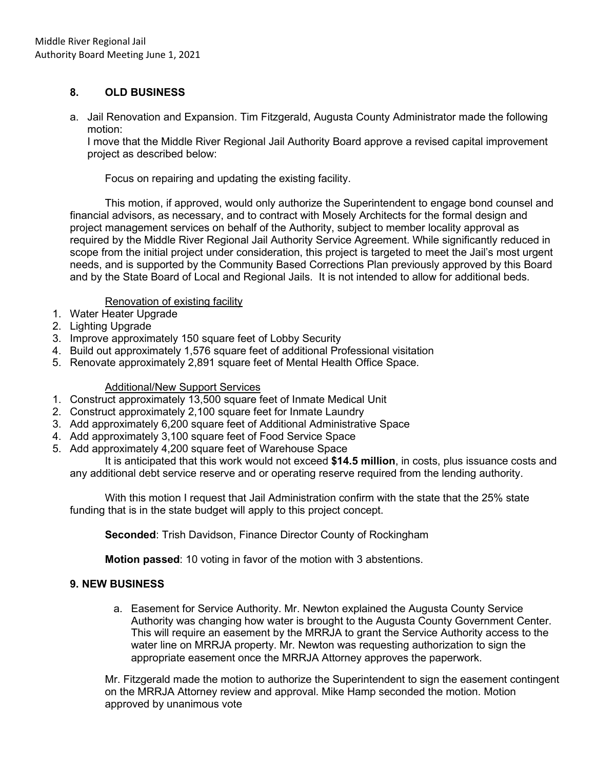### **8. OLD BUSINESS**

a. Jail Renovation and Expansion. Tim Fitzgerald, Augusta County Administrator made the following motion:

I move that the Middle River Regional Jail Authority Board approve a revised capital improvement project as described below:

Focus on repairing and updating the existing facility.

This motion, if approved, would only authorize the Superintendent to engage bond counsel and financial advisors, as necessary, and to contract with Mosely Architects for the formal design and project management services on behalf of the Authority, subject to member locality approval as required by the Middle River Regional Jail Authority Service Agreement. While significantly reduced in scope from the initial project under consideration, this project is targeted to meet the Jail's most urgent needs, and is supported by the Community Based Corrections Plan previously approved by this Board and by the State Board of Local and Regional Jails. It is not intended to allow for additional beds.

### Renovation of existing facility

- 1. Water Heater Upgrade
- 2. Lighting Upgrade
- 3. Improve approximately 150 square feet of Lobby Security
- 4. Build out approximately 1,576 square feet of additional Professional visitation
- 5. Renovate approximately 2,891 square feet of Mental Health Office Space.

### Additional/New Support Services

- 1. Construct approximately 13,500 square feet of Inmate Medical Unit
- 2. Construct approximately 2,100 square feet for Inmate Laundry
- 3. Add approximately 6,200 square feet of Additional Administrative Space
- 4. Add approximately 3,100 square feet of Food Service Space
- 5. Add approximately 4,200 square feet of Warehouse Space

It is anticipated that this work would not exceed **\$14.5 million**, in costs, plus issuance costs and any additional debt service reserve and or operating reserve required from the lending authority.

With this motion I request that Jail Administration confirm with the state that the 25% state funding that is in the state budget will apply to this project concept.

**Seconded**: Trish Davidson, Finance Director County of Rockingham

**Motion passed**: 10 voting in favor of the motion with 3 abstentions.

### **9. NEW BUSINESS**

a. Easement for Service Authority. Mr. Newton explained the Augusta County Service Authority was changing how water is brought to the Augusta County Government Center. This will require an easement by the MRRJA to grant the Service Authority access to the water line on MRRJA property. Mr. Newton was requesting authorization to sign the appropriate easement once the MRRJA Attorney approves the paperwork.

Mr. Fitzgerald made the motion to authorize the Superintendent to sign the easement contingent on the MRRJA Attorney review and approval. Mike Hamp seconded the motion. Motion approved by unanimous vote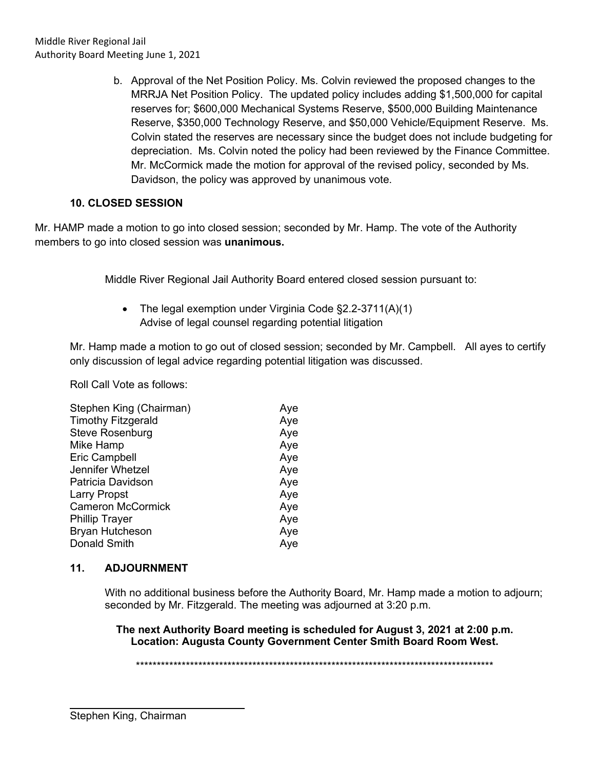b. Approval of the Net Position Policy. Ms. Colvin reviewed the proposed changes to the MRRJA Net Position Policy. The updated policy includes adding \$1,500,000 for capital reserves for; \$600,000 Mechanical Systems Reserve, \$500,000 Building Maintenance Reserve, \$350,000 Technology Reserve, and \$50,000 Vehicle/Equipment Reserve. Ms. Colvin stated the reserves are necessary since the budget does not include budgeting for depreciation. Ms. Colvin noted the policy had been reviewed by the Finance Committee. Mr. McCormick made the motion for approval of the revised policy, seconded by Ms. Davidson, the policy was approved by unanimous vote.

# **10. CLOSED SESSION**

Mr. HAMP made a motion to go into closed session; seconded by Mr. Hamp. The vote of the Authority members to go into closed session was **unanimous.**

Middle River Regional Jail Authority Board entered closed session pursuant to:

• The legal exemption under Virginia Code §2.2-3711(A)(1) Advise of legal counsel regarding potential litigation

Mr. Hamp made a motion to go out of closed session; seconded by Mr. Campbell. All ayes to certify only discussion of legal advice regarding potential litigation was discussed.

Roll Call Vote as follows:

| Aye |
|-----|
| Aye |
| Aye |
| Aye |
| Aye |
| Aye |
| Aye |
| Aye |
| Aye |
| Aye |
| Aye |
| Aye |
|     |

### **11. ADJOURNMENT**

With no additional business before the Authority Board, Mr. Hamp made a motion to adjourn; seconded by Mr. Fitzgerald. The meeting was adjourned at 3:20 p.m.

**The next Authority Board meeting is scheduled for August 3, 2021 at 2:00 p.m. Location: Augusta County Government Center Smith Board Room West.**

\*\*\*\*\*\*\*\*\*\*\*\*\*\*\*\*\*\*\*\*\*\*\*\*\*\*\*\*\*\*\*\*\*\*\*\*\*\*\*\*\*\*\*\*\*\*\*\*\*\*\*\*\*\*\*\*\*\*\*\*\*\*\*\*\*\*\*\*\*\*\*\*\*\*\*\*\*\*\*\*\*\*\*\*\*\*

 $\overline{a}$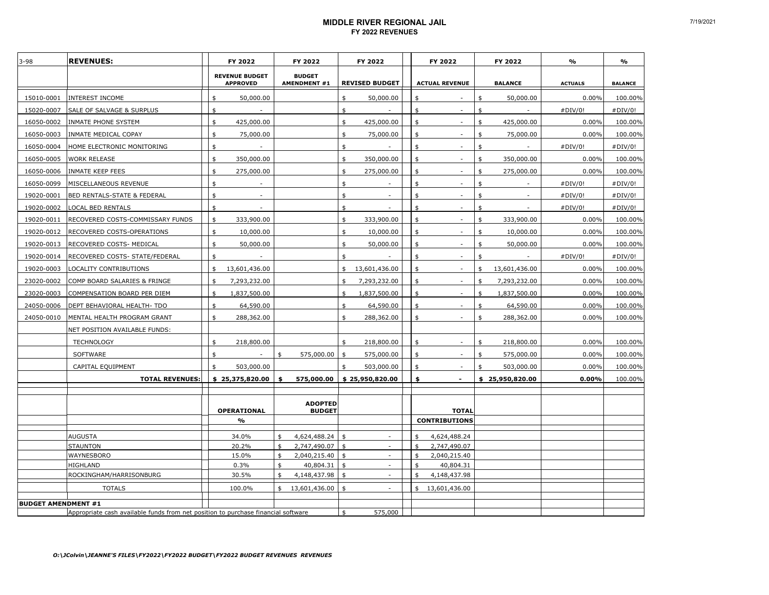#### **MIDDLE RIVER REGIONAL JAIL FY 2022 REVENUES**

| $3 - 98$                   | <b>REVENUES:</b>                                                                  | FY 2022                                  |          | FY 2022                       |          | FY 2022                  |          | FY 2022                              | FY 2022             | $\frac{9}{6}$  | %              |
|----------------------------|-----------------------------------------------------------------------------------|------------------------------------------|----------|-------------------------------|----------|--------------------------|----------|--------------------------------------|---------------------|----------------|----------------|
|                            |                                                                                   | <b>REVENUE BUDGET</b><br><b>APPROVED</b> |          | <b>BUDGET</b><br>AMENDMENT #1 |          | <b>REVISED BUDGET</b>    |          | <b>ACTUAL REVENUE</b>                | <b>BALANCE</b>      | <b>ACTUALS</b> | <b>BALANCE</b> |
| 15010-0001                 | <b>INTEREST INCOME</b>                                                            | 50,000.00<br>\$                          |          |                               | \$       | 50,000.00                | \$       |                                      | \$<br>50,000.00     | 0.00%          | 100.00%        |
| 15020-0007                 | SALE OF SALVAGE & SURPLUS                                                         | \$                                       |          |                               | \$       |                          | \$       |                                      | \$                  | #DIV/0!        | #DIV/0!        |
| 16050-0002                 | INMATE PHONE SYSTEM                                                               | \$<br>425,000.00                         |          |                               | \$       | 425,000.00               | \$       |                                      | \$<br>425,000.00    | 0.00%          | 100.00%        |
| 16050-0003                 | INMATE MEDICAL COPAY                                                              | \$<br>75,000.00                          |          |                               | \$       | 75,000.00                | \$       |                                      | \$<br>75,000.00     | 0.00%          | 100.00%        |
| 16050-0004                 | HOME ELECTRONIC MONITORING                                                        | \$                                       |          |                               | \$       |                          | \$       |                                      | \$                  | #DIV/0!        | #DIV/0!        |
| 16050-0005                 | WORK RELEASE                                                                      | \$<br>350,000.00                         |          |                               | \$       | 350,000.00               | \$       |                                      | \$<br>350,000.00    | 0.00%          | 100.00%        |
| 16050-0006                 | INMATE KEEP FEES                                                                  | \$<br>275,000.00                         |          |                               | \$       | 275,000.00               | \$       |                                      | \$<br>275,000.00    | 0.00%          | 100.00%        |
| 16050-0099                 | MISCELLANEOUS REVENUE                                                             | \$                                       |          |                               | \$       |                          | \$       |                                      | \$                  | #DIV/0!        | #DIV/0!        |
| 19020-0001                 | BED RENTALS-STATE & FEDERAL                                                       | \$<br>÷.                                 |          |                               | \$       | $\sim$                   | \$       |                                      | \$                  | #DIV/0!        | #DIV/0!        |
| 19020-0002                 | LOCAL BED RENTALS                                                                 | \$<br>÷.                                 |          |                               | \$       |                          | \$       | ÷.                                   | \$                  | #DIV/0!        | #DIV/0!        |
| 19020-0011                 | RECOVERED COSTS-COMMISSARY FUNDS                                                  | \$<br>333,900.00                         |          |                               | \$       | 333,900.00               | \$       |                                      | \$<br>333,900.00    | 0.00%          | 100.00%        |
| 19020-0012                 | RECOVERED COSTS-OPERATIONS                                                        | \$<br>10,000.00                          |          |                               | \$       | 10,000.00                | \$       |                                      | \$<br>10,000.00     | 0.00%          | 100.00%        |
| 19020-0013                 | RECOVERED COSTS- MEDICAL                                                          | \$<br>50,000.00                          |          |                               | \$       | 50,000.00                | \$       |                                      | \$<br>50,000.00     | 0.00%          | 100.00%        |
| 19020-0014                 | RECOVERED COSTS- STATE/FEDERAL                                                    | \$                                       |          |                               | \$       |                          | \$       | $\sim$                               | \$                  | #DIV/0!        | #DIV/0!        |
| 19020-0003                 | LOCALITY CONTRIBUTIONS                                                            | 13,601,436.00<br>\$                      |          |                               | \$       | 13,601,436.00            | \$       | $\sim$                               | \$<br>13,601,436.00 | 0.00%          | 100.00%        |
| 23020-0002                 | COMP BOARD SALARIES & FRINGE                                                      | 7,293,232.00<br>\$                       |          |                               | \$       | 7,293,232.00             | \$       | ÷.                                   | \$<br>7,293,232.00  | 0.00%          | 100.00%        |
| 23020-0003                 | COMPENSATION BOARD PER DIEM                                                       | 1,837,500.00<br>ፍ                        |          |                               | \$       | 1,837,500.00             | \$       | ÷.                                   | \$<br>1,837,500.00  | 0.00%          | 100.00%        |
| 24050-0006                 | DEPT BEHAVIORAL HEALTH- TDO                                                       | \$<br>64,590.00                          |          |                               | \$       | 64,590.00                | \$       | ÷.                                   | \$<br>64,590.00     | 0.00%          | 100.00%        |
| 24050-0010                 | MENTAL HEALTH PROGRAM GRANT                                                       | \$<br>288,362.00                         |          |                               | \$       | 288,362.00               | \$       |                                      | \$<br>288,362.00    | 0.00%          | 100.00%        |
|                            | NET POSITION AVAILABLE FUNDS:                                                     |                                          |          |                               |          |                          |          |                                      |                     |                |                |
|                            | <b>TECHNOLOGY</b>                                                                 | 218,800.00<br>\$                         |          |                               | \$       | 218,800.00               | \$       |                                      | \$<br>218,800.00    | 0.00%          | 100.00%        |
|                            | SOFTWARE                                                                          | \$                                       | \$       | 575,000.00                    | \$       | 575,000.00               | \$       |                                      | \$<br>575,000.00    | 0.00%          | 100.00%        |
|                            | CAPITAL EQUIPMENT                                                                 | \$<br>503,000.00                         |          |                               | \$       | 503,000.00               | \$       |                                      | \$<br>503,000.00    | 0.00%          | 100.00%        |
|                            | <b>TOTAL REVENUES:</b>                                                            | \$25,375,820.00                          | \$       | 575,000.00                    |          | \$25,950,820.00          | \$       | $\overline{\phantom{a}}$             | \$25,950,820.00     | 0.00%          | 100.00%        |
|                            |                                                                                   |                                          |          |                               |          |                          |          |                                      |                     |                |                |
|                            |                                                                                   |                                          |          | <b>ADOPTED</b>                |          |                          |          |                                      |                     |                |                |
|                            |                                                                                   | OPERATIONAL<br>$\mathbf{v}_0$            |          | <b>BUDGET</b>                 |          |                          |          | <b>TOTAL</b><br><b>CONTRIBUTIONS</b> |                     |                |                |
|                            |                                                                                   |                                          |          |                               |          |                          |          |                                      |                     |                |                |
|                            | AUGUSTA                                                                           | 34.0%                                    | \$       | 4,624,488.24                  | \$       | $\sim$                   | \$       | 4,624,488.24                         |                     |                |                |
|                            | <b>STAUNTON</b>                                                                   | 20.2%                                    | \$<br>\$ | 2,747,490.07                  | \$<br>\$ | ×.                       | \$<br>\$ | 2,747,490.07                         |                     |                |                |
|                            | WAYNESBORO<br>HIGHLAND                                                            | 15.0%<br>0.3%                            | \$       | 2,040,215.40<br>40,804.31     | \$       | $\overline{\phantom{a}}$ | \$       | 2,040,215.40<br>40,804.31            |                     |                |                |
|                            | ROCKINGHAM/HARRISONBURG                                                           | 30.5%                                    | \$       | 4,148,437.98                  | \$       |                          | \$       | 4,148,437.98                         |                     |                |                |
|                            | <b>TOTALS</b>                                                                     | 100.0%                                   | \$       | 13,601,436.00                 | \$       | ×.                       | \$       | 13,601,436.00                        |                     |                |                |
|                            |                                                                                   |                                          |          |                               |          |                          |          |                                      |                     |                |                |
| <b>BUDGET AMENDMENT #1</b> | Appropriate cash available funds from net position to purchase financial software |                                          |          |                               | \$       | 575,000                  |          |                                      |                     |                |                |
|                            |                                                                                   |                                          |          |                               |          |                          |          |                                      |                     |                |                |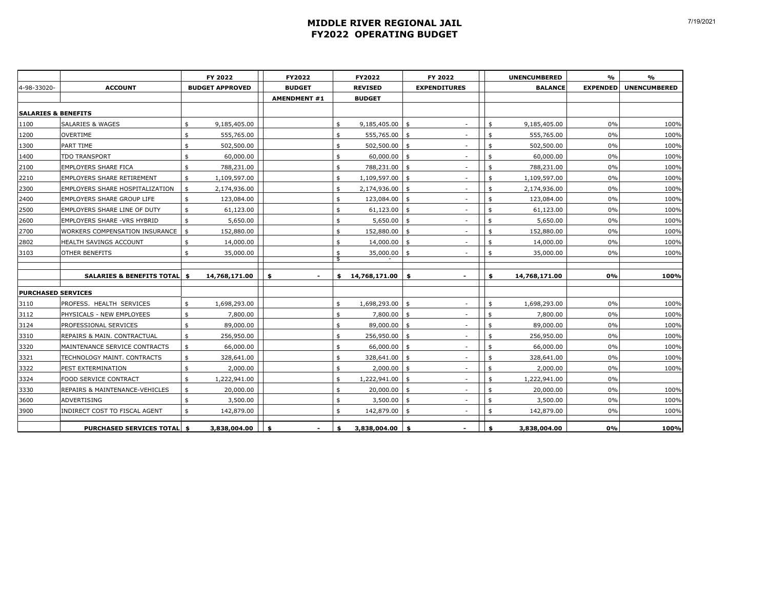### **MIDDLE RIVER REGIONAL JAIL FY2022 OPERATING BUDGET**

|                                |                                         | FY 2022                | FY2022                         | FY2022                |               | FY 2022                  | <b>UNENCUMBERED</b> |                | $\frac{9}{6}$   | %                   |
|--------------------------------|-----------------------------------------|------------------------|--------------------------------|-----------------------|---------------|--------------------------|---------------------|----------------|-----------------|---------------------|
| 4-98-33020-                    | <b>ACCOUNT</b>                          | <b>BUDGET APPROVED</b> | <b>BUDGET</b>                  | <b>REVISED</b>        |               | <b>EXPENDITURES</b>      |                     | <b>BALANCE</b> | <b>EXPENDED</b> | <b>UNENCUMBERED</b> |
|                                |                                         |                        | <b>AMENDMENT #1</b>            | <b>BUDGET</b>         |               |                          |                     |                |                 |                     |
| <b>SALARIES &amp; BENEFITS</b> |                                         |                        |                                |                       |               |                          |                     |                |                 |                     |
| 1100                           | <b>SALARIES &amp; WAGES</b>             | \$<br>9,185,405.00     |                                | \$<br>9,185,405.00 \$ |               | $\sim$                   | \$                  | 9,185,405.00   | 0%              | 100%                |
| 1200                           | OVERTIME                                | \$<br>555,765.00       |                                | \$<br>555,765.00      | \$            | $\sim$                   | \$                  | 555,765.00     | 0%              | 100%                |
| 1300                           | PART TIME                               | \$<br>502,500.00       |                                | \$<br>502,500.00      | -\$           | $\overline{\phantom{a}}$ | \$                  | 502,500.00     | $0\%$           | 100%                |
| 1400                           | TDO TRANSPORT                           | \$<br>60,000.00        |                                | \$<br>60,000.00       | -\$           | $\sim$                   | ፋ                   | 60,000.00      | 0%              | 100%                |
| 2100                           | EMPLOYERS SHARE FICA                    | \$<br>788,231.00       |                                | \$<br>788,231.00      | \$            | $\sim$                   | \$                  | 788,231.00     | 0%              | 100%                |
| 2210                           | <b>EMPLOYERS SHARE RETIREMENT</b>       | \$<br>1,109,597.00     |                                | \$<br>1,109,597.00    | $\mathsf{\$}$ | $\sim$                   | \$                  | 1,109,597.00   | 0%              | 100%                |
| 2300                           | EMPLOYERS SHARE HOSPITALIZATION         | \$<br>2,174,936.00     |                                | \$<br>2,174,936.00    | -\$           | $\sim$                   | \$                  | 2,174,936.00   | 0%              | 100%                |
| 2400                           | EMPLOYERS SHARE GROUP LIFE              | \$<br>123,084.00       |                                | \$<br>123,084.00      | \$            | $\sim$                   | \$                  | 123,084.00     | 0%              | 100%                |
| 2500                           | EMPLOYERS SHARE LINE OF DUTY            | \$<br>61,123.00        |                                | \$<br>61,123.00       | \$            | $\sim$                   | \$                  | 61,123.00      | 0%              | 100%                |
| 2600                           | EMPLOYERS SHARE - VRS HYBRID            | \$<br>5,650.00         |                                | \$<br>5,650.00        | \$            | $\sim$                   | \$                  | 5,650.00       | $0\%$           | 100%                |
| 2700                           | WORKERS COMPENSATION INSURANCE          | \$<br>152,880.00       |                                | \$<br>152,880.00      | $\mathsf{s}$  | $\sim$                   | \$                  | 152,880.00     | $0\%$           | 100%                |
| 2802                           | HEALTH SAVINGS ACCOUNT                  | \$<br>14,000.00        |                                | \$<br>14,000.00       | \$            | $\sim$                   | \$                  | 14,000.00      | 0%              | 100%                |
| 3103                           | OTHER BENEFITS                          | \$<br>35,000.00        |                                | \$<br>35,000.00       | \$            | $\sim$                   | \$                  | 35,000.00      | 0%              | 100%                |
|                                |                                         |                        |                                | \$                    |               |                          |                     |                |                 |                     |
|                                | <b>SALARIES &amp; BENEFITS TOTAL \$</b> | 14,768,171.00          | \$<br>$\overline{\phantom{a}}$ | \$<br>14,768,171.00   | \$            | $\blacksquare$           | \$                  | 14,768,171.00  | 0%              | 100%                |
| <b>PURCHASED SERVICES</b>      |                                         |                        |                                |                       |               |                          |                     |                |                 |                     |
| 3110                           | PROFESS. HEALTH SERVICES                | \$<br>1,698,293.00     |                                | \$<br>1,698,293.00    | -\$           | $\overline{\phantom{a}}$ | \$                  | 1,698,293.00   | 0%              | 100%                |
| 3112                           | PHYSICALS - NEW EMPLOYEES               | \$<br>7,800.00         |                                | \$<br>7,800.00        | -\$           | $\sim$                   | \$                  | 7,800.00       | $0\%$           | 100%                |
| 3124                           | PROFESSIONAL SERVICES                   | \$<br>89,000.00        |                                | \$<br>89,000.00       | -\$           | $\sim$                   | \$                  | 89,000.00      | 0%              | 100%                |
| 3310                           | REPAIRS & MAIN. CONTRACTUAL             | \$<br>256,950.00       |                                | \$<br>256,950.00      | \$            | $\sim$                   | \$                  | 256,950.00     | 0%              | 100%                |
| 3320                           | MAINTENANCE SERVICE CONTRACTS           | \$<br>66,000.00        |                                | \$<br>66,000.00       | \$            | $\sim$                   | \$                  | 66,000.00      | 0%              | 100%                |
| 3321                           | TECHNOLOGY MAINT. CONTRACTS             | \$<br>328,641.00       |                                | \$<br>328,641.00 \$   |               | $\sim$                   | \$                  | 328,641.00     | 0%              | 100%                |
| 3322                           | PEST EXTERMINATION                      | \$<br>2,000.00         |                                | \$<br>2,000.00        | \$            | $\sim$                   | \$                  | 2,000.00       | $0\%$           | 100%                |
| 3324                           | FOOD SERVICE CONTRACT                   | \$<br>1,222,941.00     |                                | \$<br>1,222,941.00    | \$            | $\sim$                   | \$                  | 1,222,941.00   | $0\%$           |                     |
| 3330                           | REPAIRS & MAINTENANCE-VEHICLES          | \$<br>20,000.00        |                                | \$<br>20,000.00       | -\$           | $\sim$                   | ፋ                   | 20,000.00      | 0%              | 100%                |
| 3600                           | ADVERTISING                             | \$<br>3,500.00         |                                | \$<br>3,500.00        | \$            | $\sim$                   | \$                  | 3,500.00       | 0%              | 100%                |
| 3900                           | INDIRECT COST TO FISCAL AGENT           | \$<br>142,879.00       |                                | \$<br>142,879.00      | -\$           | $\sim$                   | \$                  | 142,879.00     | 0%              | 100%                |
|                                | PURCHASED SERVICES TOTAL \$             | 3,838,004.00           | \$                             | \$<br>3,838,004.00    | - \$          |                          | \$                  | 3,838,004.00   | 0%              | 100%                |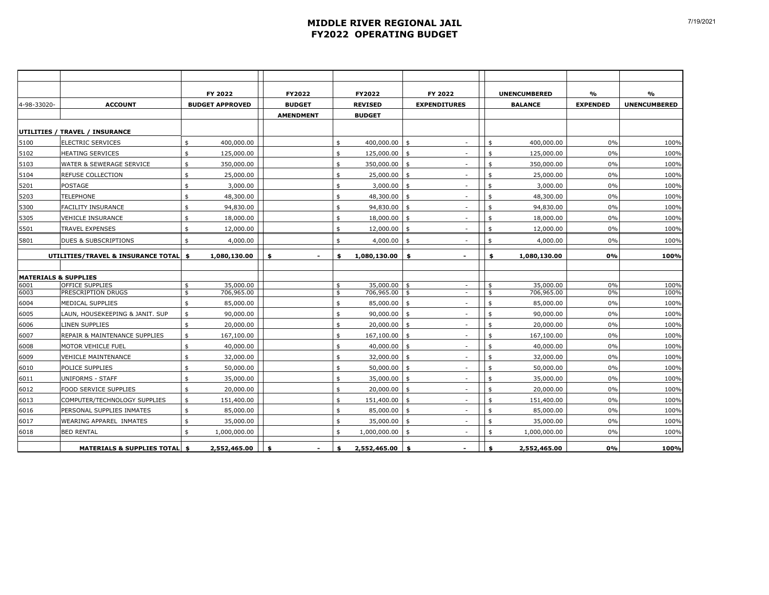### **MIDDLE RIVER REGIONAL JAIL FY2022 OPERATING BUDGET**

|                                 |                                       | FY 2022                | FY2022           | FY2022               |                         | FY 2022                  |                    | <b>UNENCUMBERED</b> | $\frac{9}{6}$   | %                   |
|---------------------------------|---------------------------------------|------------------------|------------------|----------------------|-------------------------|--------------------------|--------------------|---------------------|-----------------|---------------------|
|                                 | <b>ACCOUNT</b>                        |                        | <b>BUDGET</b>    | <b>REVISED</b>       |                         | <b>EXPENDITURES</b>      |                    | <b>BALANCE</b>      | <b>EXPENDED</b> | <b>UNENCUMBERED</b> |
| 4-98-33020-                     |                                       | <b>BUDGET APPROVED</b> |                  |                      |                         |                          |                    |                     |                 |                     |
|                                 |                                       |                        | <b>AMENDMENT</b> | <b>BUDGET</b>        |                         |                          |                    |                     |                 |                     |
|                                 | UTILITIES / TRAVEL / INSURANCE        |                        |                  |                      |                         |                          |                    |                     |                 |                     |
| 5100                            | <b>ELECTRIC SERVICES</b>              | 400,000.00<br>\$       |                  | \$<br>400,000.00     | \$                      | $\sim$                   | \$                 | 400,000.00          | 0%              | 100%                |
| 5102                            | <b>HEATING SERVICES</b>               | 125,000.00<br>\$       |                  | \$<br>125,000.00     | $\ddot{s}$              | $\sim$                   | \$                 | 125,000.00          | 0%              | 100%                |
| 5103                            | WATER & SEWERAGE SERVICE              | \$<br>350,000.00       |                  | \$<br>350,000.00     | $\ddot{s}$              | $\sim$                   | \$                 | 350,000.00          | 0%              | 100%                |
| 5104                            | REFUSE COLLECTION                     | \$<br>25,000.00        |                  | \$<br>25,000.00      | \$                      | $\sim$                   | \$                 | 25,000.00           | 0%              | 100%                |
| 5201                            | <b>POSTAGE</b>                        | \$<br>3,000.00         |                  | \$<br>3,000.00       | \$                      | $\sim$                   | \$                 | 3,000.00            | 0%              | 100%                |
| 5203                            | <b>TELEPHONE</b>                      | \$<br>48,300.00        |                  | \$<br>48,300.00      | $\ddot{s}$              | ×.                       | \$                 | 48,300.00           | 0%              | 100%                |
| 5300                            | FACILITY INSURANCE                    | 94,830.00<br>\$        |                  | \$<br>94,830.00      | $\ddot{s}$              | $\overline{\phantom{a}}$ | \$                 | 94,830.00           | 0%              | 100%                |
| 5305                            | <b>VEHICLE INSURANCE</b>              | \$<br>18,000.00        |                  | \$<br>18,000.00      | $\ddot{s}$              | ×.                       | \$                 | 18,000.00           | 0%              | 100%                |
| 5501                            | <b>TRAVEL EXPENSES</b>                | \$<br>12,000.00        |                  | \$<br>12,000.00 \$   |                         | ٠                        | $\mathfrak{s}$     | 12,000.00           | $0\%$           | 100%                |
| 5801                            | DUES & SUBSCRIPTIONS                  | 4,000.00<br>\$         |                  | \$<br>$4,000.00$ \$  |                         | ×.                       | $\mathbf{\hat{z}}$ | 4,000.00            | 0%              | 100%                |
|                                 |                                       |                        |                  |                      |                         |                          |                    |                     |                 |                     |
|                                 | UTILITIES/TRAVEL & INSURANCE TOTAL    | 1,080,130.00<br>\$     | \$               | \$<br>1,080,130.00   | \$                      | $\overline{\phantom{a}}$ | \$                 | 1,080,130.00        | 0%              | 100%                |
| <b>MATERIALS &amp; SUPPLIES</b> |                                       |                        |                  |                      |                         |                          |                    |                     |                 |                     |
| 6001                            | <b>OFFICE SUPPLIES</b>                | 35,000.00<br>\$        |                  | \$<br>$35,000.00$ \$ |                         | $\sim$                   | \$                 | 35,000.00           | 0%              | 100%                |
| 6003                            | PRESCRIPTION DRUGS                    | \$<br>706,965.00       |                  | \$<br>706,965.00     | $\mathsf{\$}$           | $\sim$                   | \$                 | 706,965.00          | 0%              | 100%                |
| 6004                            | <b>MEDICAL SUPPLIES</b>               | 85,000.00<br>\$        |                  | \$<br>85,000.00      | $\frac{1}{2}$           | $\sim$                   | \$                 | 85,000.00           | 0%              | 100%                |
| 6005                            | LAUN, HOUSEKEEPING & JANIT. SUP       | 90,000.00<br>\$        |                  | \$<br>90,000.00      | \$                      | ×.                       | \$                 | 90,000.00           | 0%              | 100%                |
| 6006                            | LINEN SUPPLIES                        | 20,000.00<br>\$        |                  | \$<br>20,000.00      | $\mathsf{\$}$           | ×.                       | $\mathfrak{s}$     | 20,000.00           | 0%              | 100%                |
| 6007                            | REPAIR & MAINTENANCE SUPPLIES         | \$<br>167,100.00       |                  | \$<br>167,100.00     | $\frac{1}{2}$           | $\sim$                   | \$                 | 167,100.00          | 0%              | 100%                |
| 6008                            | MOTOR VEHICLE FUEL                    | 40,000.00<br>\$        |                  | \$<br>40,000.00      | $\mathsf{\$}$           | $\overline{\phantom{a}}$ | \$                 | 40,000.00           | 0%              | 100%                |
| 6009                            | <b>VEHICLE MAINTENANCE</b>            | \$<br>32,000.00        |                  | \$<br>32,000.00      | $\frac{1}{2}$           | $\sim$                   | \$                 | 32,000.00           | 0%              | 100%                |
| 6010                            | POLICE SUPPLIES                       | 50,000.00<br>\$        |                  | \$<br>50,000.00      | \$                      | ٠                        | \$                 | 50,000.00           | 0%              | 100%                |
| 6011                            | <b>UNIFORMS - STAFF</b>               | 35,000.00<br>\$        |                  | \$<br>35,000.00      | $\overline{\mathbf{3}}$ | ×.                       | \$                 | 35,000.00           | 0%              | 100%                |
| 6012                            | <b>FOOD SERVICE SUPPLIES</b>          | 20,000.00<br>\$        |                  | \$<br>20,000.00      | $\ddot{s}$              | $\sim$                   | \$                 | 20,000.00           | 0%              | 100%                |
| 6013                            | COMPUTER/TECHNOLOGY SUPPLIES          | \$<br>151,400.00       |                  | \$<br>151,400.00 \$  |                         | $\sim$                   | \$                 | 151,400.00          | 0%              | 100%                |
| 6016                            | PERSONAL SUPPLIES INMATES             | 85,000.00<br>\$        |                  | \$<br>$85,000.00$ \$ |                         | $\overline{\phantom{a}}$ | \$                 | 85,000.00           | 0%              | 100%                |
| 6017                            | WEARING APPAREL INMATES               | 35,000.00<br>\$        |                  | \$<br>35,000.00      | \$                      | $\sim$                   | \$                 | 35,000.00           | 0%              | 100%                |
| 6018                            | <b>BED RENTAL</b>                     | \$<br>1,000,000.00     |                  | \$<br>1,000,000.00   | \$                      | ×.                       | \$                 | 1,000,000.00        | 0%              | 100%                |
|                                 | <b>MATERIALS &amp; SUPPLIES TOTAL</b> | 2,552,465.00<br>\$     | \$               | \$<br>2,552,465.00   | \$                      |                          | \$                 | 2,552,465.00        | 0%              | 100%                |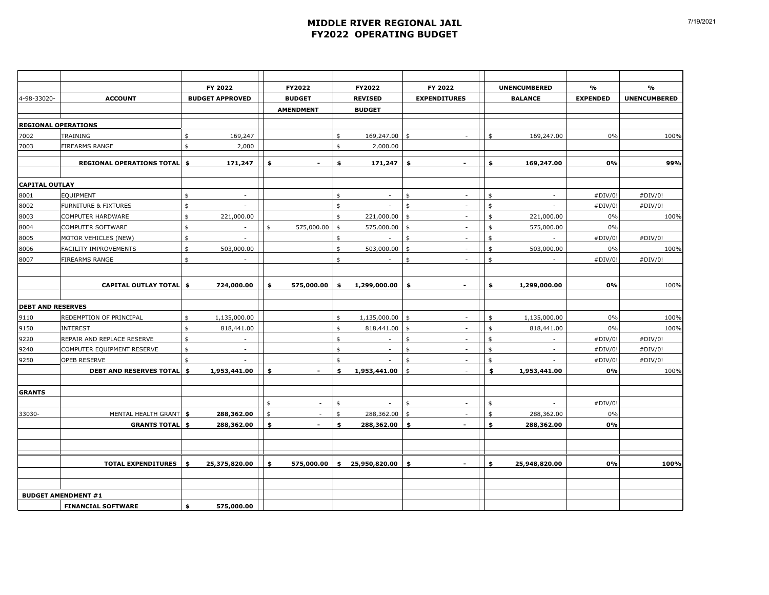### **MIDDLE RIVER REGIONAL JAIL FY2022 OPERATING BUDGET**

|                          |                                   |               | FY 2022                  |                    | FY2022           |               | FY2022                   |                | FY 2022                  |                    | <b>UNENCUMBERED</b> | $\%$            | %                   |
|--------------------------|-----------------------------------|---------------|--------------------------|--------------------|------------------|---------------|--------------------------|----------------|--------------------------|--------------------|---------------------|-----------------|---------------------|
| 4-98-33020-              | <b>ACCOUNT</b>                    |               | <b>BUDGET APPROVED</b>   |                    | <b>BUDGET</b>    |               | <b>REVISED</b>           |                | <b>EXPENDITURES</b>      |                    | <b>BALANCE</b>      | <b>EXPENDED</b> | <b>UNENCUMBERED</b> |
|                          |                                   |               |                          |                    | <b>AMENDMENT</b> |               | <b>BUDGET</b>            |                |                          |                    |                     |                 |                     |
|                          | <b>REGIONAL OPERATIONS</b>        |               |                          |                    |                  |               |                          |                |                          |                    |                     |                 |                     |
| 7002                     | TRAINING                          | \$            | 169,247                  |                    |                  | \$            | 169,247.00               | \$             | ×.                       | \$                 | 169,247.00          | 0%              | 100%                |
| 7003                     | FIREARMS RANGE                    | \$            | 2,000                    |                    |                  | \$            | 2,000.00                 |                |                          |                    |                     |                 |                     |
|                          | <b>REGIONAL OPERATIONS TOTAL</b>  | \$            | 171,247                  | \$                 | $\sim$           | \$            | 171,247                  | \$             | $\blacksquare$           | \$                 | 169,247.00          | 0%              | 99%                 |
|                          |                                   |               |                          |                    |                  |               |                          |                |                          |                    |                     |                 |                     |
| <b>CAPITAL OUTLAY</b>    |                                   |               |                          |                    |                  |               |                          |                |                          |                    |                     |                 |                     |
| 8001                     | EQUIPMENT                         | \$            |                          |                    |                  | \$            | ×.                       | \$             | $\overline{\phantom{a}}$ | \$                 |                     | #DIV/0!         | #DIV/0!             |
| 8002                     | <b>FURNITURE &amp; FIXTURES</b>   | \$            |                          |                    |                  | \$            |                          | \$             | $\sim$                   | $\mathbf{\hat{S}}$ |                     | #DIV/0!         | #DIV/0!             |
| 8003                     | COMPUTER HARDWARE                 | $\mathsf{\$}$ | 221,000.00               |                    |                  | \$            | 221,000.00               | $\frac{4}{3}$  | $\sim$                   | \$                 | 221,000.00          | 0%              | 100%                |
| 8004                     | <b>COMPUTER SOFTWARE</b>          | \$            | $\sim$                   | \$                 | 575,000.00       | \$            | 575,000.00               | \$             | $\sim$                   | \$                 | 575,000.00          | $0\%$           |                     |
| 8005                     | MOTOR VEHICLES (NEW)              | $\frac{1}{2}$ | $\sim$                   |                    |                  | \$            | ×.                       | \$             | $\sim$                   | \$                 | $\sim$              | #DIV/0!         | #DIV/0!             |
| 8006                     | FACILITY IMPROVEMENTS             | \$            | 503,000.00               |                    |                  | $\mathsf{\$}$ | 503,000.00               | $\frac{4}{3}$  | ÷                        | \$                 | 503,000.00          | 0%              | 100%                |
| 8007                     | FIREARMS RANGE                    | \$            |                          |                    |                  | \$            | ٠                        | \$             | ×.                       | \$                 | $\sim$              | #DIV/0!         | #DIV/0!             |
|                          | CAPITAL OUTLAY TOTAL \$           |               | 724,000.00               | \$                 | 575,000.00       | \$            | 1,299,000.00             | \$             | $\overline{\phantom{a}}$ | \$                 | 1,299,000.00        | 0%              | 100%                |
| <b>DEBT AND RESERVES</b> |                                   |               |                          |                    |                  |               |                          |                |                          |                    |                     |                 |                     |
| 9110                     | REDEMPTION OF PRINCIPAL           | \$            | 1,135,000.00             |                    |                  | \$            | 1,135,000.00             | \$             | $\overline{\phantom{a}}$ | \$                 | 1,135,000.00        | 0%              | 100%                |
| 9150                     | <b>INTEREST</b>                   | \$            | 818,441.00               |                    |                  | \$            | 818,441.00               | $\mathfrak{s}$ | $\sim$                   | \$                 | 818,441.00          | 0%              | 100%                |
| 9220                     | REPAIR AND REPLACE RESERVE        | \$            | $\sim$                   |                    |                  | \$            | $\sim$                   | \$             | $\sim$                   | \$                 | $\sim$              | #DIV/0!         | #DIV/0!             |
| 9240                     | COMPUTER EQUIPMENT RESERVE        | \$            | $\overline{\phantom{a}}$ |                    |                  | $\mathsf{\$}$ | ÷,                       | \$             | ÷                        | \$                 |                     | #DIV/0!         | #DIV/0!             |
| 9250                     | OPEB RESERVE                      | \$            |                          |                    |                  | \$            |                          | \$             | ×.                       | \$                 |                     | #DIV/0!         | #DIV/0!             |
|                          | <b>DEBT AND RESERVES TOTAL \$</b> |               | 1,953,441.00             | \$                 | $\blacksquare$   | \$            | 1,953,441.00             | \$             | $\sim$                   | \$                 | 1,953,441.00        | 0%              | 100%                |
| <b>GRANTS</b>            |                                   |               |                          |                    |                  |               |                          |                |                          |                    |                     |                 |                     |
|                          |                                   |               |                          | \$                 | $\sim$           | \$            | $\overline{\phantom{a}}$ | \$             | $\sim$                   | \$                 | $\sim$              | #DIV/0!         |                     |
| 33030-                   | MENTAL HEALTH GRANT               | Ś.            | 288,362.00               | $\ddot{\bm{\tau}}$ |                  | \$            | 288,362.00               | \$             | $\sim$                   | \$                 | 288,362.00          | 0%              |                     |
|                          | <b>GRANTS TOTAL \$</b>            |               | 288,362.00               | \$                 | $\blacksquare$   | \$            | 288,362.00               | \$             | $\blacksquare$           | \$                 | 288,362.00          | 0%              |                     |
|                          |                                   |               |                          |                    |                  |               |                          |                |                          |                    |                     |                 |                     |
|                          | <b>TOTAL EXPENDITURES</b>         | \$            | 25,375,820.00            | \$                 | 575,000.00       |               | \$ 25,950,820.00         | \$             | $\blacksquare$           | \$                 | 25,948,820.00       | 0%              | 100%                |
|                          |                                   |               |                          |                    |                  |               |                          |                |                          |                    |                     |                 |                     |
|                          | <b>BUDGET AMENDMENT #1</b>        |               |                          |                    |                  |               |                          |                |                          |                    |                     |                 |                     |
|                          | <b>FINANCIAL SOFTWARE</b>         | \$            | 575,000.00               |                    |                  |               |                          |                |                          |                    |                     |                 |                     |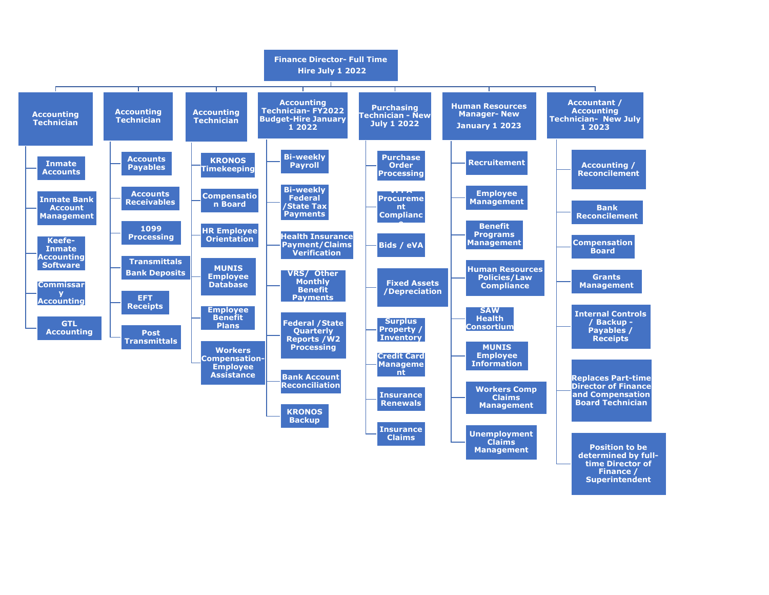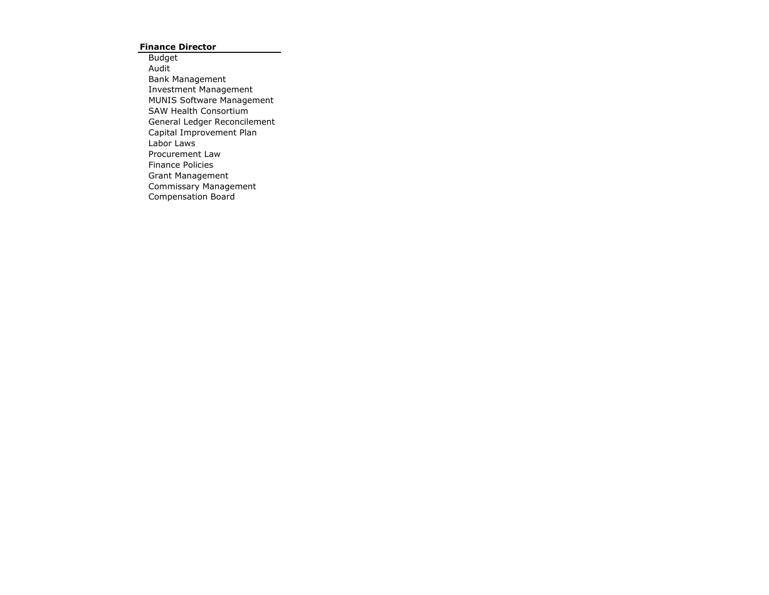### **Finance Director**

Budget Audit Bank Management Investment Management MUNIS Software Management SAW Health Consortium General Ledger Reconcilement Capital Improvement Plan Labor Laws Procurement Law Finance Policies Grant Management Commissary Management Compensation Board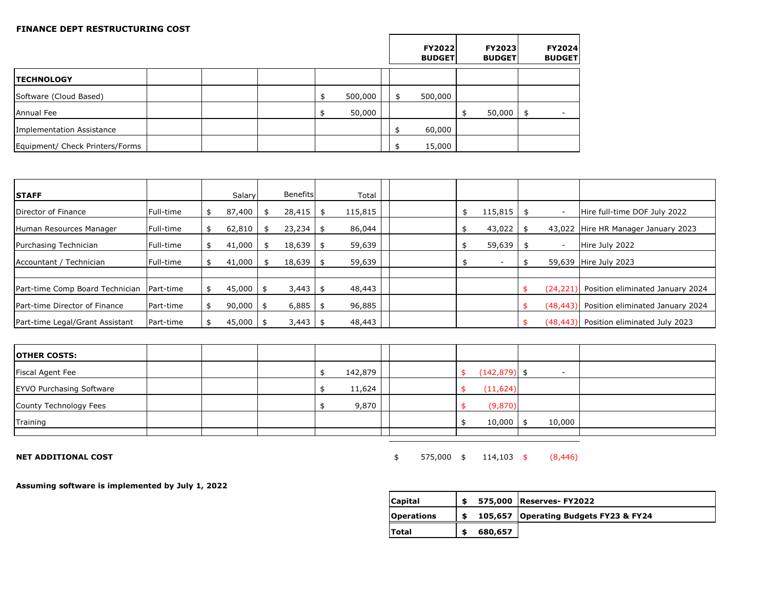#### **FINANCE DEPT RESTRUCTURING COST**

|                                 |  |  |         |  | <b>FY2022</b><br><b>BUDGET</b> | <b>FY2023</b><br><b>BUDGET</b> | FY2024<br><b>BUDGET</b> |
|---------------------------------|--|--|---------|--|--------------------------------|--------------------------------|-------------------------|
| <b>TECHNOLOGY</b>               |  |  |         |  |                                |                                |                         |
| Software (Cloud Based)          |  |  | 500,000 |  | 500,000                        |                                |                         |
| Annual Fee                      |  |  | 50,000  |  |                                | 50,000                         | \$                      |
| Implementation Assistance       |  |  |         |  | 60,000                         |                                |                         |
| Equipment/ Check Printers/Forms |  |  |         |  | 15,000                         |                                |                         |

| <b>STAFF</b>                    |                  | Salary      | <b>Benefits</b> | Total   |  |         |      |                          |                                        |
|---------------------------------|------------------|-------------|-----------------|---------|--|---------|------|--------------------------|----------------------------------------|
|                                 |                  |             |                 |         |  |         |      |                          |                                        |
| Director of Finance             | Full-time        | 87,400      | $28,415$ \$     | 115,815 |  | 115,815 | - \$ | $\overline{\phantom{a}}$ | Hire full-time DOF July 2022           |
| Human Resources Manager         | <b>Full-time</b> | 62,810      | 23,234          | 86,044  |  | 43,022  |      | 43,022                   | Hire HR Manager January 2023           |
| Purchasing Technician           | <b>Full-time</b> | 41,000      | $18,639$ \$     | 59,639  |  | 59,639  | -\$  | $\overline{\phantom{a}}$ | Hire July 2022                         |
| Accountant / Technician         | Full-time        | 41,000      | $18,639$ \$     | 59,639  |  |         |      | 59,639                   | Hire July 2023                         |
|                                 |                  |             |                 |         |  |         |      |                          |                                        |
| Part-time Comp Board Technician | Part-time        | $45,000$ \$ | $3,443$ \$      | 48,443  |  |         |      | (24,221)                 | Position eliminated January 2024       |
| lPart-time Director of Finance  | <b>Part-time</b> | 90,000      | $6,885$ \$      | 96,885  |  |         | \$   | (48, 443)                | Position eliminated January 2024       |
| Part-time Legal/Grant Assistant | Part-time        | $45,000$ \$ | $3,443$ \$      | 48,443  |  |         | \$   |                          | (48,443) Position eliminated July 2023 |

 $\mathsf{r}$ 

| <b>OTHER COSTS:</b>             |  |  |         |  |                 |                          |  |
|---------------------------------|--|--|---------|--|-----------------|--------------------------|--|
| <b>Fiscal Agent Fee</b>         |  |  | 142,879 |  | $(142, 879)$ \$ | $\overline{\phantom{a}}$ |  |
| <b>EYVO Purchasing Software</b> |  |  | 11,624  |  | (11, 624)       |                          |  |
| County Technology Fees          |  |  | 9,870   |  | (9,870)         |                          |  |
| Training                        |  |  |         |  | 10,000          | 10,000                   |  |
|                                 |  |  |         |  |                 |                          |  |

**NET ADDITIONAL COST** (8,446)

**Assuming software is implemented by July 1, 2022**

| Capital           | 575,000 | <b>Reserves-FY2022</b>                |
|-------------------|---------|---------------------------------------|
| <b>Operations</b> |         | 105,657 Operating Budgets FY23 & FY24 |
| Total             | 680,657 |                                       |

 $\overline{\phantom{0}}$ 

 $\top$ 

┯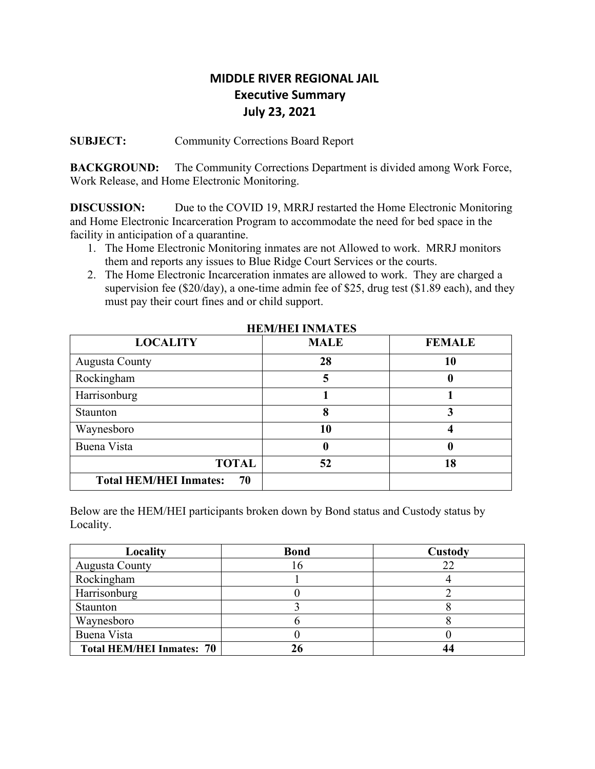# **MIDDLE RIVER REGIONAL JAIL Executive Summary July 23, 2021**

**SUBJECT:** Community Corrections Board Report

**BACKGROUND:** The Community Corrections Department is divided among Work Force, Work Release, and Home Electronic Monitoring.

**DISCUSSION:** Due to the COVID 19, MRRJ restarted the Home Electronic Monitoring and Home Electronic Incarceration Program to accommodate the need for bed space in the facility in anticipation of a quarantine.

- 1. The Home Electronic Monitoring inmates are not Allowed to work. MRRJ monitors them and reports any issues to Blue Ridge Court Services or the courts.
- 2. The Home Electronic Incarceration inmates are allowed to work. They are charged a supervision fee (\$20/day), a one-time admin fee of \$25, drug test (\$1.89 each), and they must pay their court fines and or child support.

| <b>LOCALITY</b>                     | <b>MALE</b> | <b>FEMALE</b> |
|-------------------------------------|-------------|---------------|
| <b>Augusta County</b>               | 28          | 10            |
| Rockingham                          |             | O             |
| Harrisonburg                        |             |               |
| Staunton                            | 8           |               |
| Waynesboro                          | 10          |               |
| Buena Vista                         |             | 0             |
| <b>TOTAL</b>                        | 52          | 18            |
| <b>Total HEM/HEI Inmates:</b><br>70 |             |               |

 **HEM/HEI INMATES**

Below are the HEM/HEI participants broken down by Bond status and Custody status by Locality.

| Locality                         | <b>Bond</b> | Custody |
|----------------------------------|-------------|---------|
| <b>Augusta County</b>            |             | 22      |
| Rockingham                       |             |         |
| Harrisonburg                     |             |         |
| Staunton                         |             |         |
| Waynesboro                       |             |         |
| Buena Vista                      |             |         |
| <b>Total HEM/HEI Inmates: 70</b> |             |         |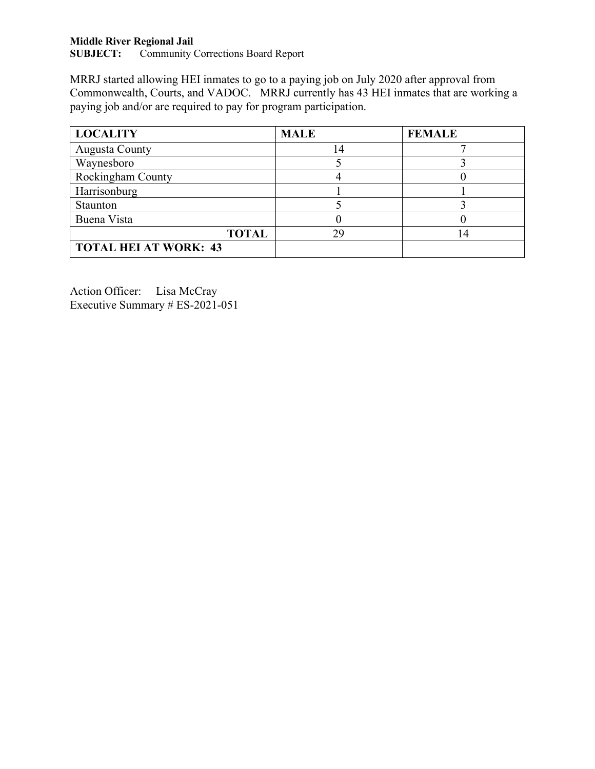# **Middle River Regional Jail<br>SUBJECT:** Community O

Community Corrections Board Report

MRRJ started allowing HEI inmates to go to a paying job on July 2020 after approval from Commonwealth, Courts, and VADOC. MRRJ currently has 43 HEI inmates that are working a paying job and/or are required to pay for program participation.

| <b>LOCALITY</b>              | <b>MALE</b> | <b>FEMALE</b> |
|------------------------------|-------------|---------------|
| <b>Augusta County</b>        | 14          |               |
| Waynesboro                   |             |               |
| <b>Rockingham County</b>     |             |               |
| Harrisonburg                 |             |               |
| Staunton                     |             |               |
| Buena Vista                  |             |               |
| <b>TOTAL</b>                 | 29          |               |
| <b>TOTAL HEI AT WORK: 43</b> |             |               |

Action Officer: Lisa McCray Executive Summary # ES-2021-051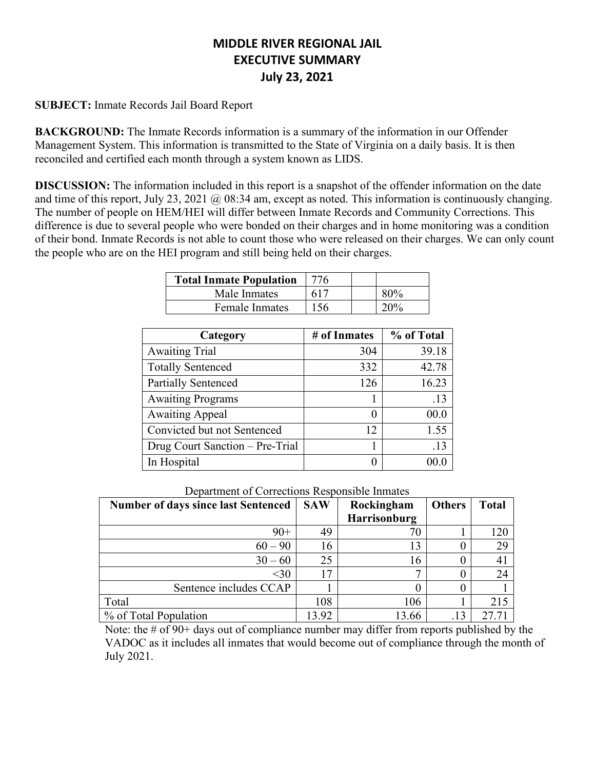# **MIDDLE RIVER REGIONAL JAIL EXECUTIVE SUMMARY July 23, 2021**

### **SUBJECT:** Inmate Records Jail Board Report

**BACKGROUND:** The Inmate Records information is a summary of the information in our Offender Management System. This information is transmitted to the State of Virginia on a daily basis. It is then reconciled and certified each month through a system known as LIDS.

**DISCUSSION:** The information included in this report is a snapshot of the offender information on the date and time of this report, July 23, 2021 @ 08:34 am, except as noted. This information is continuously changing. The number of people on HEM/HEI will differ between Inmate Records and Community Corrections. This difference is due to several people who were bonded on their charges and in home monitoring was a condition of their bond. Inmate Records is not able to count those who were released on their charges. We can only count the people who are on the HEI program and still being held on their charges.

| <b>Total Inmate Population</b> | 776 |  |
|--------------------------------|-----|--|
| Male Inmates                   | 617 |  |
| <b>Female Inmates</b>          |     |  |

| Category                        | # of Inmates | % of Total |
|---------------------------------|--------------|------------|
| <b>Awaiting Trial</b>           | 304          | 39.18      |
| <b>Totally Sentenced</b>        | 332          | 42.78      |
| <b>Partially Sentenced</b>      | 126          | 16.23      |
| <b>Awaiting Programs</b>        |              | .13        |
| <b>Awaiting Appeal</b>          |              | 00.0       |
| Convicted but not Sentenced     | 12           | 1.55       |
| Drug Court Sanction - Pre-Trial |              | .13        |
| In Hospital                     |              | (0.01)     |

|  |  |  | Department of Corrections Responsible Inmates |  |  |  |
|--|--|--|-----------------------------------------------|--|--|--|
|--|--|--|-----------------------------------------------|--|--|--|

| <b>Number of days since last Sentenced</b> | <b>SAW</b> | Rockingham   | <b>Others</b> | <b>Total</b> |
|--------------------------------------------|------------|--------------|---------------|--------------|
|                                            |            | Harrisonburg |               |              |
| $90+$                                      | 49         |              |               | 120          |
| $60 - 90$                                  | 16         |              |               | 29           |
| $30 - 60$                                  | 25         | 16           |               |              |
| $<$ 30                                     |            |              |               | 24           |
| Sentence includes CCAP                     |            |              |               |              |
| Total                                      | 108        | 106          |               | 215          |
| % of Total Population                      | 13.92      | 13.66        |               |              |

Note: the # of 90+ days out of compliance number may differ from reports published by the VADOC as it includes all inmates that would become out of compliance through the month of July 2021.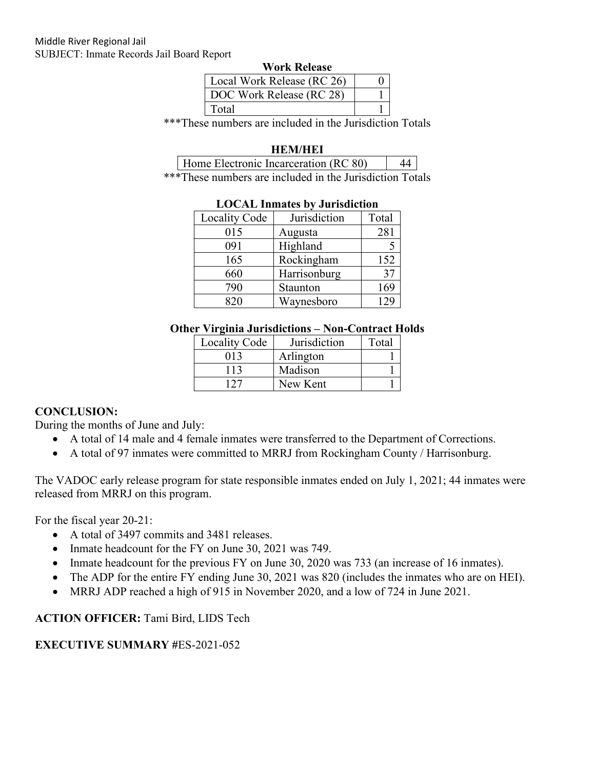|  | <b>Work Release</b> |
|--|---------------------|
|--|---------------------|

| Local Work Release (RC 26) |  |
|----------------------------|--|
| DOC Work Release (RC 28)   |  |
| Total                      |  |

\*\*\*These numbers are included in the Jurisdiction Totals

### **HEM/HEI**

| Home Electronic Incarceration (RC 80) |  |
|---------------------------------------|--|
|---------------------------------------|--|

\*\*\*These numbers are included in the Jurisdiction Totals

| Locality Code | Jurisdiction | Total |
|---------------|--------------|-------|
| 015           | Augusta      | 281   |
| 091           | Highland     |       |
| 165           | Rockingham   | 152   |
| 660           | Harrisonburg | 37    |
| 790           | Staunton     | 169   |
| 820           | Waynesboro   | 129   |

### **LOCAL Inmates by Jurisdiction**

### **Other Virginia Jurisdictions – Non-Contract Holds**

| <b>Locality Code</b> | Jurisdiction | Total |
|----------------------|--------------|-------|
| 013                  | Arlington    |       |
| 113                  | Madison      |       |
| 127                  | New Kent     |       |

### **CONCLUSION:**

During the months of June and July:

- A total of 14 male and 4 female inmates were transferred to the Department of Corrections.
- A total of 97 inmates were committed to MRRJ from Rockingham County / Harrisonburg.

The VADOC early release program for state responsible inmates ended on July 1, 2021; 44 inmates were released from MRRJ on this program.

For the fiscal year 20-21:

- A total of 3497 commits and 3481 releases.
- Inmate headcount for the FY on June 30, 2021 was 749.
- Inmate headcount for the previous FY on June 30, 2020 was 733 (an increase of 16 inmates).
- The ADP for the entire FY ending June 30, 2021 was 820 (includes the inmates who are on HEI).
- MRRJ ADP reached a high of 915 in November 2020, and a low of 724 in June 2021.

### **ACTION OFFICER:** Tami Bird, LIDS Tech

### **EXECUTIVE SUMMARY #**ES-2021-052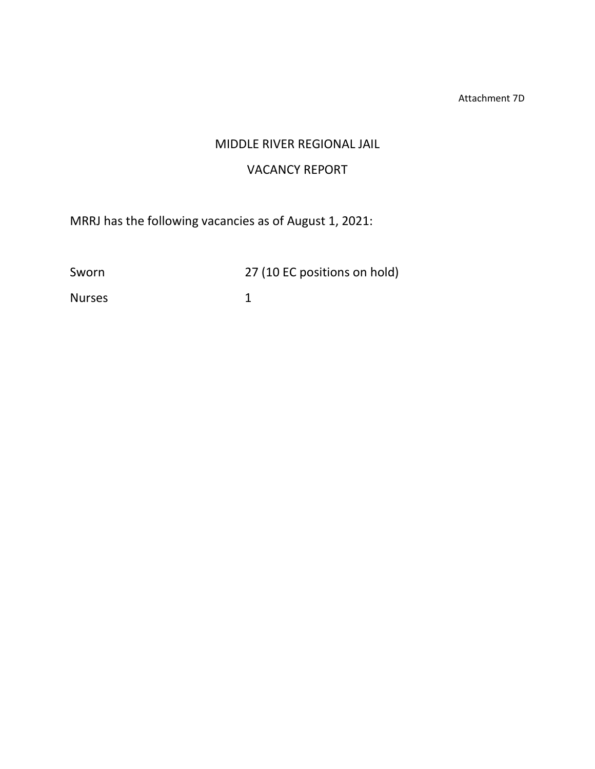Attachment 7D

# MIDDLE RIVER REGIONAL JAIL

# VACANCY REPORT

MRRJ has the following vacancies as of August 1, 2021:

Sworn 27 (10 EC positions on hold)

Nurses 1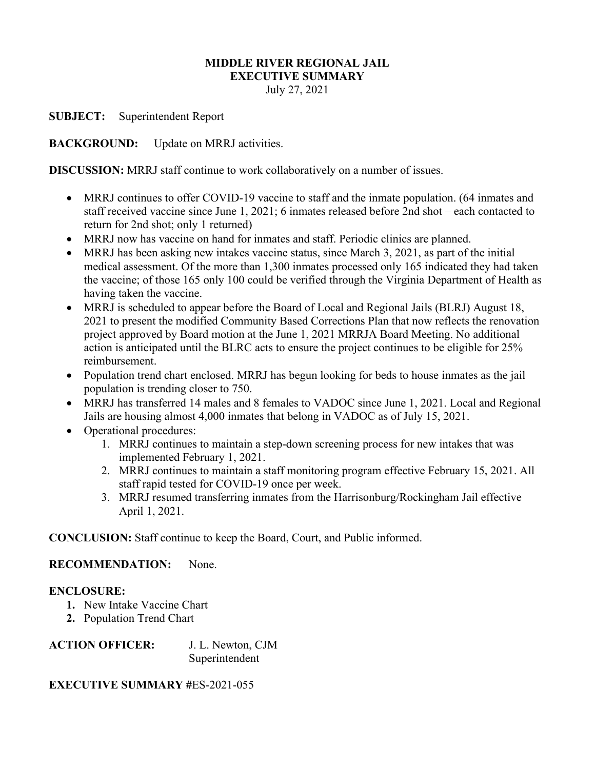### **MIDDLE RIVER REGIONAL JAIL EXECUTIVE SUMMARY**

July 27, 2021

**SUBJECT:** Superintendent Report

**BACKGROUND:** Update on MRRJ activities.

**DISCUSSION:** MRRJ staff continue to work collaboratively on a number of issues.

- MRRJ continues to offer COVID-19 vaccine to staff and the inmate population. (64 inmates and staff received vaccine since June 1, 2021; 6 inmates released before 2nd shot – each contacted to return for 2nd shot; only 1 returned)
- MRRJ now has vaccine on hand for inmates and staff. Periodic clinics are planned.
- MRRJ has been asking new intakes vaccine status, since March 3, 2021, as part of the initial medical assessment. Of the more than 1,300 inmates processed only 165 indicated they had taken the vaccine; of those 165 only 100 could be verified through the Virginia Department of Health as having taken the vaccine.
- MRRJ is scheduled to appear before the Board of Local and Regional Jails (BLRJ) August 18, 2021 to present the modified Community Based Corrections Plan that now reflects the renovation project approved by Board motion at the June 1, 2021 MRRJA Board Meeting. No additional action is anticipated until the BLRC acts to ensure the project continues to be eligible for 25% reimbursement.
- Population trend chart enclosed. MRRJ has begun looking for beds to house inmates as the jail population is trending closer to 750.
- MRRJ has transferred 14 males and 8 females to VADOC since June 1, 2021. Local and Regional Jails are housing almost 4,000 inmates that belong in VADOC as of July 15, 2021.
- Operational procedures:
	- 1. MRRJ continues to maintain a step-down screening process for new intakes that was implemented February 1, 2021.
	- 2. MRRJ continues to maintain a staff monitoring program effective February 15, 2021. All staff rapid tested for COVID-19 once per week.
	- 3. MRRJ resumed transferring inmates from the Harrisonburg/Rockingham Jail effective April 1, 2021.

**CONCLUSION:** Staff continue to keep the Board, Court, and Public informed.

### **RECOMMENDATION:** None.

### **ENCLOSURE:**

- **1.** New Intake Vaccine Chart
- **2.** Population Trend Chart

| <b>ACTION OFFICER:</b> | J. L. Newton, CJM |
|------------------------|-------------------|
|                        | Superintendent    |

### **EXECUTIVE SUMMARY #**ES-2021-055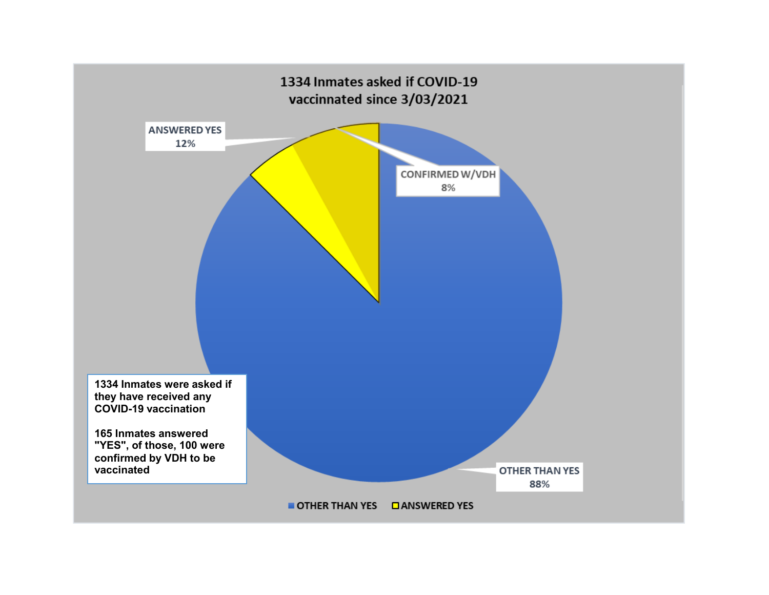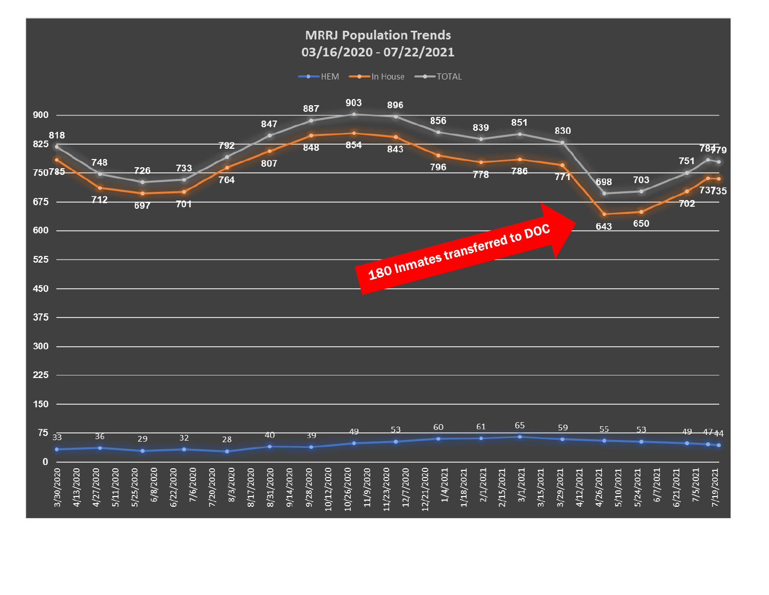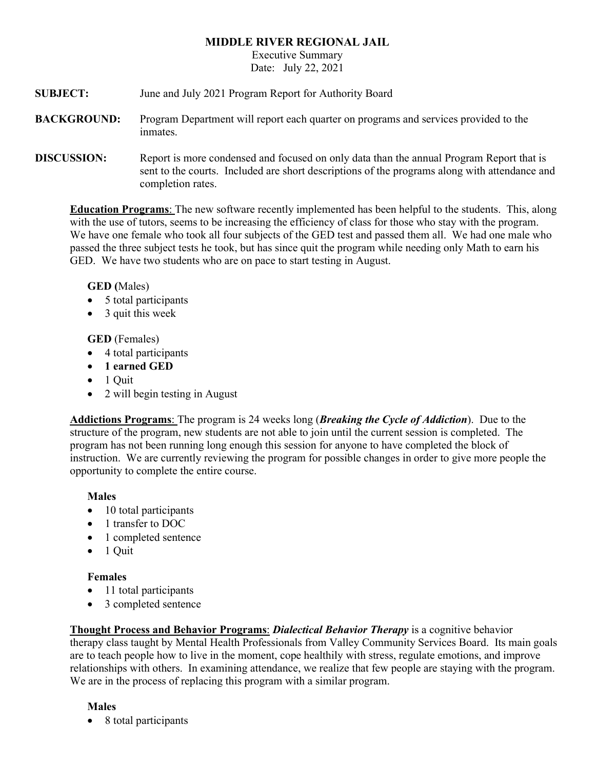### **MIDDLE RIVER REGIONAL JAIL**

Executive Summary Date: July 22, 2021

- **SUBJECT:** June and July 2021 Program Report for Authority Board
- **BACKGROUND:** Program Department will report each quarter on programs and services provided to the inmates.
- **DISCUSSION:** Report is more condensed and focused on only data than the annual Program Report that is sent to the courts. Included are short descriptions of the programs along with attendance and completion rates.

**Education Programs**: The new software recently implemented has been helpful to the students. This, along with the use of tutors, seems to be increasing the efficiency of class for those who stay with the program. We have one female who took all four subjects of the GED test and passed them all. We had one male who passed the three subject tests he took, but has since quit the program while needing only Math to earn his GED. We have two students who are on pace to start testing in August.

**GED (**Males)

- 5 total participants
- 3 quit this week

**GED** (Females)

- 4 total participants
- **1 earned GED**
- 1 Quit
- 2 will begin testing in August

**Addictions Programs**: The program is 24 weeks long (*Breaking the Cycle of Addiction*). Due to the structure of the program, new students are not able to join until the current session is completed. The program has not been running long enough this session for anyone to have completed the block of instruction. We are currently reviewing the program for possible changes in order to give more people the opportunity to complete the entire course.

### **Males**

- 10 total participants
- 1 transfer to DOC
- 1 completed sentence
- 1 Quit

### **Females**

- 11 total participants
- 3 completed sentence

**Thought Process and Behavior Programs**: *Dialectical Behavior Therapy* is a cognitive behavior therapy class taught by Mental Health Professionals from Valley Community Services Board. Its main goals are to teach people how to live in the moment, cope healthily with stress, regulate emotions, and improve relationships with others. In examining attendance, we realize that few people are staying with the program. We are in the process of replacing this program with a similar program.

### **Males**

• 8 total participants